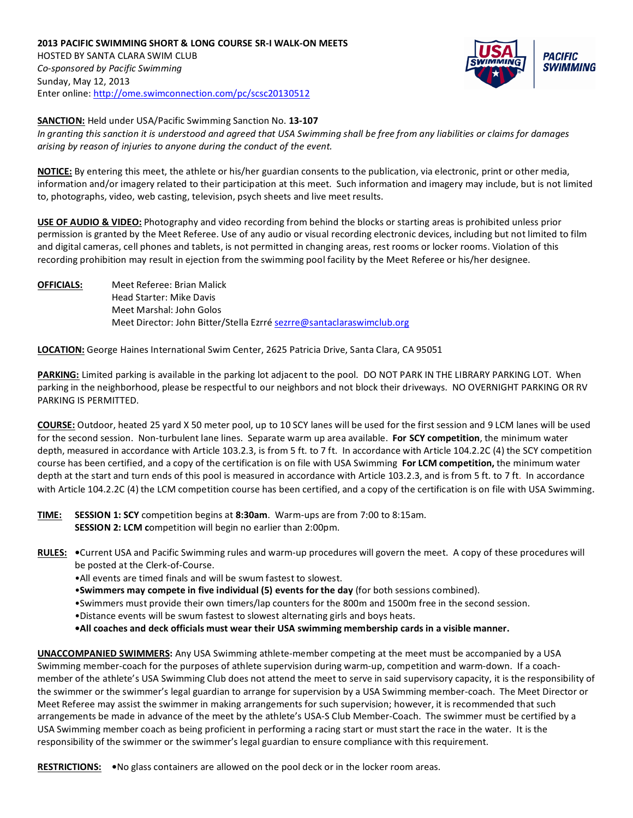

**SANCTION:** Held under USA/Pacific Swimming Sanction No. **13-107**

*In granting this sanction it is understood and agreed that USA Swimming shall be free from any liabilities or claims for damages arising by reason of injuries to anyone during the conduct of the event.* 

**NOTICE:** By entering this meet, the athlete or his/her guardian consents to the publication, via electronic, print or other media, information and/or imagery related to their participation at this meet. Such information and imagery may include, but is not limited to, photographs, video, web casting, television, psych sheets and live meet results.

**USE OF AUDIO & VIDEO:** Photography and video recording from behind the blocks or starting areas is prohibited unless prior permission is granted by the Meet Referee. Use of any audio or visual recording electronic devices, including but not limited to film and digital cameras, cell phones and tablets, is not permitted in changing areas, rest rooms or locker rooms. Violation of this recording prohibition may result in ejection from the swimming pool facility by the Meet Referee or his/her designee.

**OFFICIALS:** Meet Referee: Brian Malick Head Starter: Mike Davis Meet Marshal: John Golos Meet Director: John Bitter/Stella Ezrré [sezrre@santaclaraswimclub.org](mailto:sezrre@santaclaraswimclub.org)

**LOCATION:** George Haines International Swim Center, 2625 Patricia Drive, Santa Clara, CA 95051

**PARKING:** Limited parking is available in the parking lot adjacent to the pool. DO NOT PARK IN THE LIBRARY PARKING LOT. When parking in the neighborhood, please be respectful to our neighbors and not block their driveways. NO OVERNIGHT PARKING OR RV PARKING IS PERMITTED.

**COURSE:** Outdoor, heated 25 yard X 50 meter pool, up to 10 SCY lanes will be used for the first session and 9 LCM lanes will be used for the second session. Non-turbulent lane lines. Separate warm up area available. **For SCY competition**, the minimum water depth, measured in accordance with Article 103.2.3, is from 5 ft. to 7 ft. In accordance with Article 104.2.2C (4) the SCY competition course has been certified, and a copy of the certification is on file with USA Swimming **For LCM competition,** the minimum water depth at the start and turn ends of this pool is measured in accordance with Article 103.2.3, and is from 5 ft. to 7 ft. In accordance with Article 104.2.2C (4) the LCM competition course has been certified, and a copy of the certification is on file with USA Swimming.

**TIME: SESSION 1: SCY** competition begins at **8:30am**. Warm-ups are from 7:00 to 8:15am. **SESSION 2: LCM c**ompetition will begin no earlier than 2:00pm.

- **RULES: •**Current USA and Pacific Swimming rules and warm-up procedures will govern the meet. A copy of these procedures will be posted at the Clerk-of-Course.
	- •All events are timed finals and will be swum fastest to slowest.
	- •**Swimmers may compete in five individual (5) events for the day** (for both sessions combined).
	- •Swimmers must provide their own timers/lap counters for the 800m and 1500m free in the second session.
	- •Distance events will be swum fastest to slowest alternating girls and boys heats.
	- **•All coaches and deck officials must wear their USA swimming membership cards in a visible manner.**

**UNACCOMPANIED SWIMMERS:** Any USA Swimming athlete-member competing at the meet must be accompanied by a USA Swimming member-coach for the purposes of athlete supervision during warm-up, competition and warm-down. If a coachmember of the athlete's USA Swimming Club does not attend the meet to serve in said supervisory capacity, it is the responsibility of the swimmer or the swimmer's legal guardian to arrange for supervision by a USA Swimming member-coach. The Meet Director or Meet Referee may assist the swimmer in making arrangements for such supervision; however, it is recommended that such arrangements be made in advance of the meet by the athlete's USA-S Club Member-Coach. The swimmer must be certified by a USA Swimming member coach as being proficient in performing a racing start or must start the race in the water. It is the responsibility of the swimmer or the swimmer's legal guardian to ensure compliance with this requirement.

**RESTRICTIONS: •**No glass containers are allowed on the pool deck or in the locker room areas.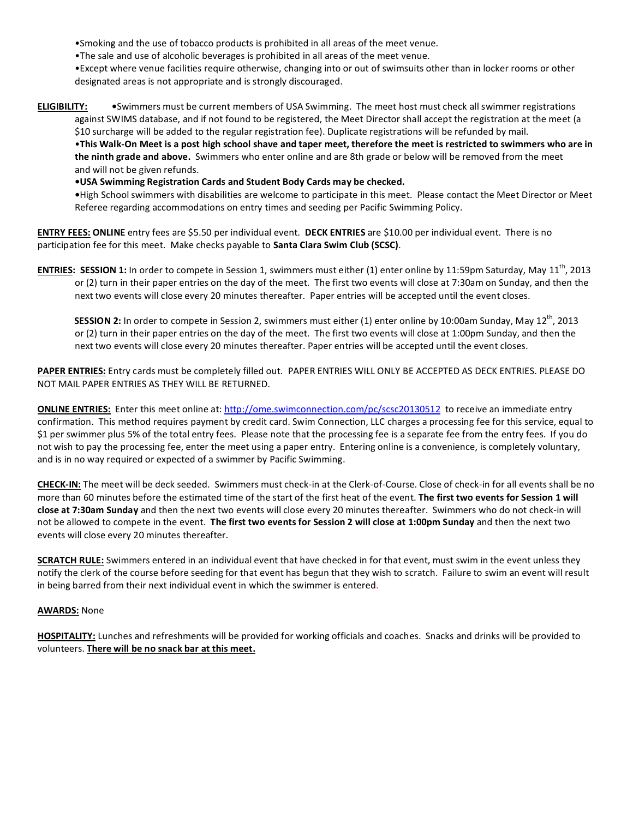•Smoking and the use of tobacco products is prohibited in all areas of the meet venue.

•The sale and use of alcoholic beverages is prohibited in all areas of the meet venue.

•Except where venue facilities require otherwise, changing into or out of swimsuits other than in locker rooms or other designated areas is not appropriate and is strongly discouraged.

## **ELIGIBILITY: •**Swimmers must be current members of USA Swimming. The meet host must check all swimmer registrations against SWIMS database, and if not found to be registered, the Meet Director shall accept the registration at the meet (a \$10 surcharge will be added to the regular registration fee). Duplicate registrations will be refunded by mail. •**This Walk-On Meet is a post high school shave and taper meet, therefore the meet is restricted to swimmers who are in the ninth grade and above.** Swimmers who enter online and are 8th grade or below will be removed from the meet and will not be given refunds.

**•USA Swimming Registration Cards and Student Body Cards may be checked.** 

**•**High School swimmers with disabilities are welcome to participate in this meet. Please contact the Meet Director or Meet Referee regarding accommodations on entry times and seeding per Pacific Swimming Policy.

**ENTRY FEES: ONLINE** entry fees are \$5.50 per individual event. **DECK ENTRIES** are \$10.00 per individual event. There is no participation fee for this meet. Make checks payable to **Santa Clara Swim Club (SCSC)**.

**ENTRIES: SESSION 1:** In order to compete in Session 1, swimmers must either (1) enter online by 11:59pm Saturday, May 11<sup>th</sup>, 2013 or (2) turn in their paper entries on the day of the meet. The first two events will close at 7:30am on Sunday, and then the next two events will close every 20 minutes thereafter. Paper entries will be accepted until the event closes.

**SESSION 2:** In order to compete in Session 2, swimmers must either (1) enter online by 10:00am Sunday, May 12<sup>th</sup>, 2013 or (2) turn in their paper entries on the day of the meet. The first two events will close at 1:00pm Sunday, and then the next two events will close every 20 minutes thereafter. Paper entries will be accepted until the event closes.

**PAPER ENTRIES:** Entry cards must be completely filled out. PAPER ENTRIES WILL ONLY BE ACCEPTED AS DECK ENTRIES. PLEASE DO NOT MAIL PAPER ENTRIES AS THEY WILL BE RETURNED.

**ONLINE ENTRIES:** Enter this meet online at:<http://ome.swimconnection.com/pc/scsc20130512>to receive an immediate entry confirmation. This method requires payment by credit card. Swim Connection, LLC charges a processing fee for this service, equal to \$1 per swimmer plus 5% of the total entry fees. Please note that the processing fee is a separate fee from the entry fees. If you do not wish to pay the processing fee, enter the meet using a paper entry. Entering online is a convenience, is completely voluntary, and is in no way required or expected of a swimmer by Pacific Swimming.

**CHECK-IN:** The meet will be deck seeded. Swimmers must check-in at the Clerk-of-Course. Close of check-in for all events shall be no more than 60 minutes before the estimated time of the start of the first heat of the event. **The first two events for Session 1 will close at 7:30am Sunday** and then the next two events will close every 20 minutes thereafter. Swimmers who do not check-in will not be allowed to compete in the event. **The first two events for Session 2 will close at 1:00pm Sunday** and then the next two events will close every 20 minutes thereafter.

**SCRATCH RULE:** Swimmers entered in an individual event that have checked in for that event, must swim in the event unless they notify the clerk of the course before seeding for that event has begun that they wish to scratch. Failure to swim an event will result in being barred from their next individual event in which the swimmer is entered.

## **AWARDS:** None

**HOSPITALITY:** Lunches and refreshments will be provided for working officials and coaches. Snacks and drinks will be provided to volunteers. **There will be no snack bar at this meet.**